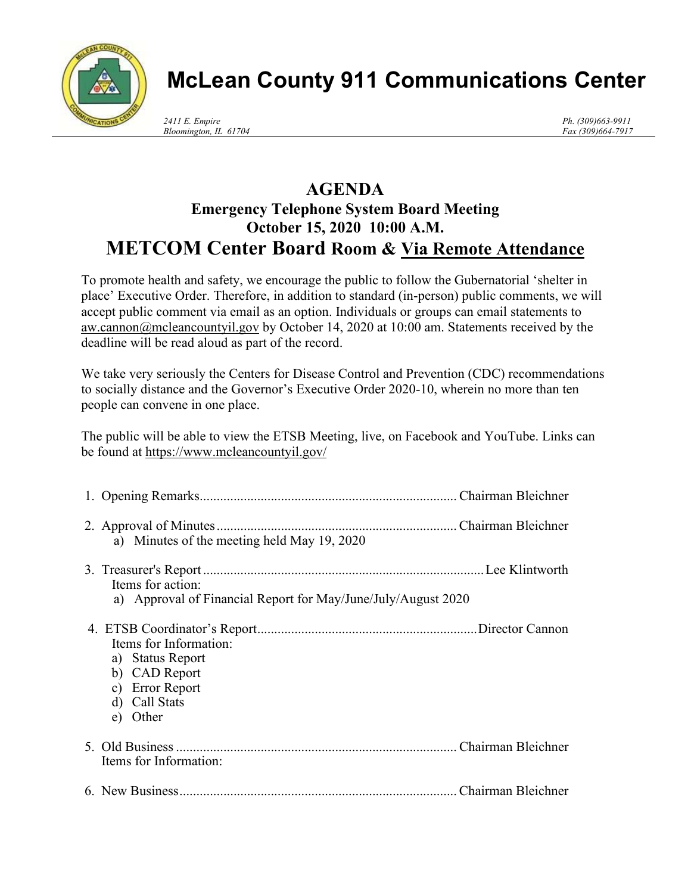

## **McLean County 911 Communications Center**

*Ph. (309)663-9911 Fax (309)664-7917*

## **AGENDA Emergency Telephone System Board Meeting October 15, 2020 10:00 A.M. METCOM Center Board Room & Via Remote Attendance**

To promote health and safety, we encourage the public to follow the Gubernatorial 'shelter in place' Executive Order. Therefore, in addition to standard (in-person) public comments, we will accept public comment via email as an option. Individuals or groups can email statements to aw.cannon@mcleancountyil.gov by October 14, 2020 at 10:00 am. Statements received by the deadline will be read aloud as part of the record.

We take very seriously the Centers for Disease Control and Prevention (CDC) recommendations to socially distance and the Governor's Executive Order 2020-10, wherein no more than ten people can convene in one place.

The public will be able to view the ETSB Meeting, live, on Facebook and YouTube. Links can be found at https://www.mcleancountyil.gov/

| a) Minutes of the meeting held May 19, 2020                                                                 |  |
|-------------------------------------------------------------------------------------------------------------|--|
| Items for action:<br>a) Approval of Financial Report for May/June/July/August 2020                          |  |
| Items for Information:<br>a) Status Report<br>b) CAD Report<br>c) Error Report<br>d) Call Stats<br>e) Other |  |
| Items for Information:                                                                                      |  |
|                                                                                                             |  |